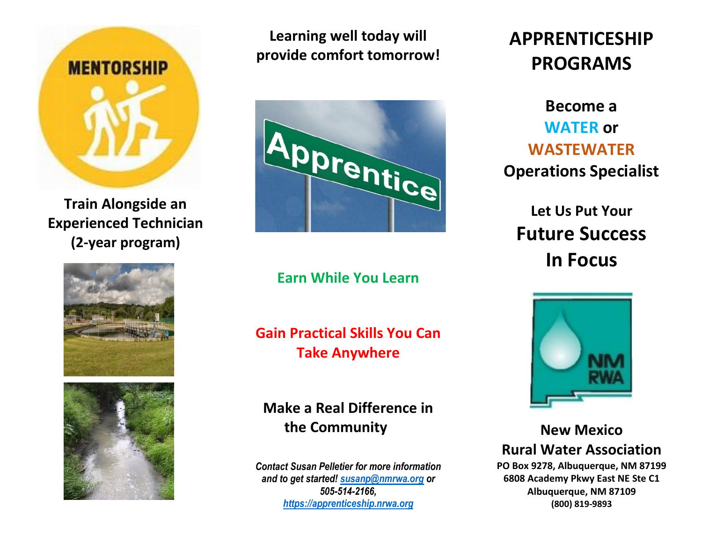

**Train Alongside an Experienced Technician (2-year program)**





**Learning well today will provide comfort tomorrow!**



**Earn While You Learn**

**Gain Practical Skills You Can Take Anywhere**

**Make a Real Difference in the Community**

*Contact Susan Pelletier for more information and to get started! [susanp@nmrwa.org](mailto:susanp@nmrwa.org) or 505-514-2166, [https://apprenticeship.nrwa.org](https://apprenticeship.nrwa.org/)*

# **APPRENTICESHIP PROGRAMS**

**Become a WATER or WASTEWATER Operations Specialist**

**Let Us Put Your Future Success In Focus**



**New Mexico Rural Water Association**

**PO Box 9278, Albuquerque, NM 87199 6808 Academy Pkwy East NE Ste C1 Albuquerque, NM 87109 (800) 819-9893**